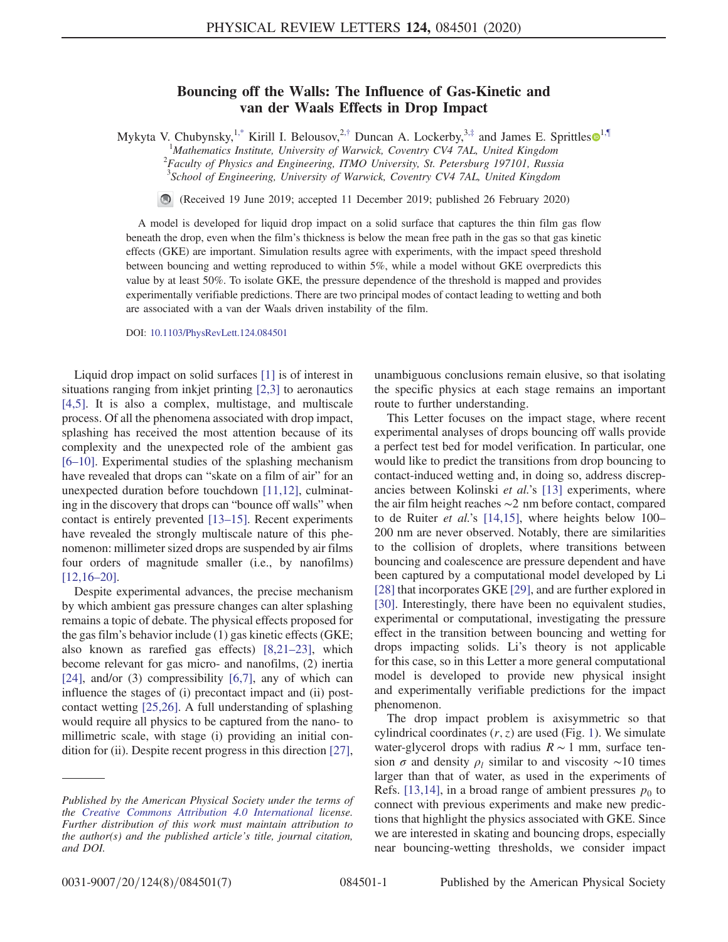## Bouncing off the Walls: The Influence of Gas-Kinetic and van der Waals Effects in Drop Impact

<span id="page-0-0"></span>Mykyta V. Chubynsky,<sup>[1,\\*](#page-4-0)</sup> Kirill I. Belousov,<sup>2,[†](#page-4-1)</sup> Duncan A. Lockerby,<sup>3,[‡](#page-4-2)</sup> and James E. Sprittles $\mathbf{0}^{1,\P}$  $\mathbf{0}^{1,\P}$  $\mathbf{0}^{1,\P}$ <sup>1</sup>Mathematics Institute, University of Warwick, Coventry CV4 7AL, United Kingdom  ${}^{2}$ Eggulty of Physics and Engineering, *TMO University*, *St. Petersburg*, 197101, Pussi

 $^{2}$ Faculty of Physics and Engineering, ITMO University, St. Petersburg 197101, Russia <sup>3</sup> School of Engineering, University of Warwick, Coventry CV4 7AL, United Kingdom

(Received 19 June 2019; accepted 11 December 2019; published 26 February 2020)

A model is developed for liquid drop impact on a solid surface that captures the thin film gas flow beneath the drop, even when the film's thickness is below the mean free path in the gas so that gas kinetic effects (GKE) are important. Simulation results agree with experiments, with the impact speed threshold between bouncing and wetting reproduced to within 5%, while a model without GKE overpredicts this value by at least 50%. To isolate GKE, the pressure dependence of the threshold is mapped and provides experimentally verifiable predictions. There are two principal modes of contact leading to wetting and both are associated with a van der Waals driven instability of the film.

DOI: [10.1103/PhysRevLett.124.084501](https://doi.org/10.1103/PhysRevLett.124.084501)

Liquid drop impact on solid surfaces [\[1\]](#page-4-4) is of interest in situations ranging from inkjet printing [\[2,3\]](#page-4-5) to aeronautics [\[4,5\].](#page-4-6) It is also a complex, multistage, and multiscale process. Of all the phenomena associated with drop impact, splashing has received the most attention because of its complexity and the unexpected role of the ambient gas [6–[10\].](#page-4-7) Experimental studies of the splashing mechanism have revealed that drops can "skate on a film of air" for an unexpected duration before touchdown [\[11,12\]](#page-4-8), culminating in the discovery that drops can "bounce off walls" when contact is entirely prevented [\[13](#page-4-9)–15]. Recent experiments have revealed the strongly multiscale nature of this phenomenon: millimeter sized drops are suspended by air films four orders of magnitude smaller (i.e., by nanofilms) [\[12,16](#page-4-10)–20].

Despite experimental advances, the precise mechanism by which ambient gas pressure changes can alter splashing remains a topic of debate. The physical effects proposed for the gas film's behavior include (1) gas kinetic effects (GKE; also known as rarefied gas effects) [\[8,21](#page-4-11)–23], which become relevant for gas micro- and nanofilms, (2) inertia [\[24\]](#page-5-0), and/or  $(3)$  compressibility  $[6,7]$ , any of which can influence the stages of (i) precontact impact and (ii) postcontact wetting [\[25,26\].](#page-5-1) A full understanding of splashing would require all physics to be captured from the nano- to millimetric scale, with stage (i) providing an initial con-dition for (ii). Despite recent progress in this direction [\[27\]](#page-5-2), unambiguous conclusions remain elusive, so that isolating the specific physics at each stage remains an important route to further understanding.

This Letter focuses on the impact stage, where recent experimental analyses of drops bouncing off walls provide a perfect test bed for model verification. In particular, one would like to predict the transitions from drop bouncing to contact-induced wetting and, in doing so, address discrepancies between Kolinski et al.'s [\[13\]](#page-4-9) experiments, where the air film height reaches ∼2 nm before contact, compared to de Ruiter *et al.*'s [\[14,15\]](#page-4-12), where heights below 100– 200 nm are never observed. Notably, there are similarities to the collision of droplets, where transitions between bouncing and coalescence are pressure dependent and have been captured by a computational model developed by Li [\[28\]](#page-5-3) that incorporates GKE [\[29\]](#page-5-4), and are further explored in [\[30\]](#page-5-5). Interestingly, there have been no equivalent studies, experimental or computational, investigating the pressure effect in the transition between bouncing and wetting for drops impacting solids. Li's theory is not applicable for this case, so in this Letter a more general computational model is developed to provide new physical insight and experimentally verifiable predictions for the impact phenomenon.

The drop impact problem is axisymmetric so that cylindrical coordinates  $(r, z)$  are used (Fig. [1](#page-1-0)). We simulate water-glycerol drops with radius  $R \sim 1$  mm, surface tension  $\sigma$  and density  $\rho_l$  similar to and viscosity ~10 times larger than that of water, as used in the experiments of Refs. [\[13,14\]](#page-4-9), in a broad range of ambient pressures  $p_0$  to connect with previous experiments and make new predictions that highlight the physics associated with GKE. Since we are interested in skating and bouncing drops, especially near bouncing-wetting thresholds, we consider impact

Published by the American Physical Society under the terms of the [Creative Commons Attribution 4.0 International](https://creativecommons.org/licenses/by/4.0/) license. Further distribution of this work must maintain attribution to the author(s) and the published article's title, journal citation, and DOI.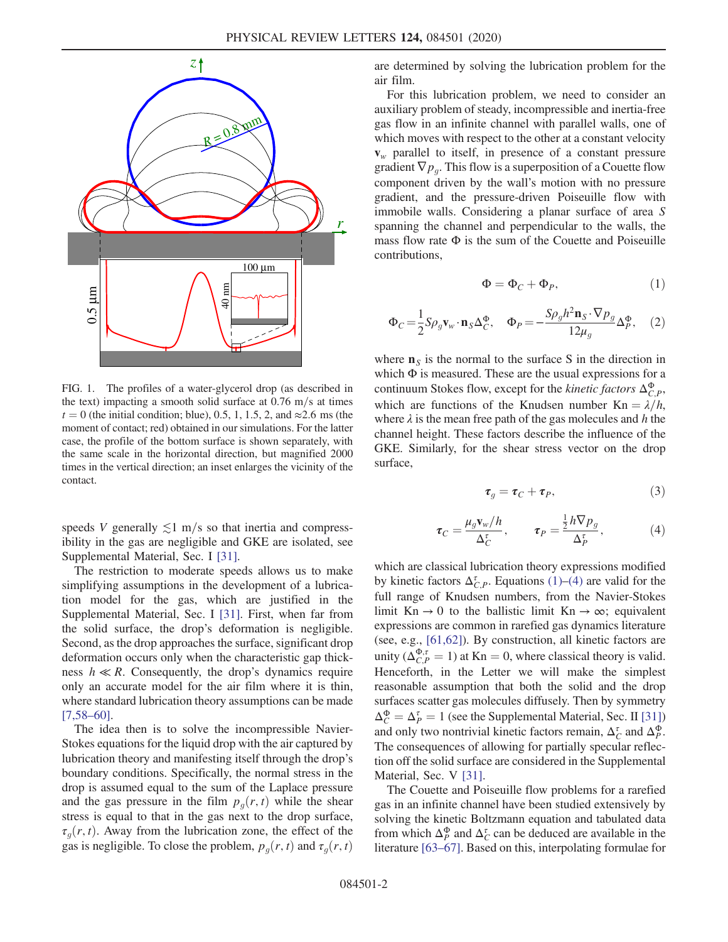<span id="page-1-0"></span>

FIG. 1. The profiles of a water-glycerol drop (as described in the text) impacting a smooth solid surface at  $0.76$  m/s at times  $t = 0$  (the initial condition; blue), 0.5, 1, 1.5, 2, and ≈2.6 ms (the moment of contact; red) obtained in our simulations. For the latter case, the profile of the bottom surface is shown separately, with the same scale in the horizontal direction, but magnified 2000 times in the vertical direction; an inset enlarges the vicinity of the contact.

speeds V generally  $\leq 1$  m/s so that inertia and compressibility in the gas are negligible and GKE are isolated, see Supplemental Material, Sec. I [\[31\].](#page-5-6)

The restriction to moderate speeds allows us to make simplifying assumptions in the development of a lubrication model for the gas, which are justified in the Supplemental Material, Sec. I [\[31\].](#page-5-6) First, when far from the solid surface, the drop's deformation is negligible. Second, as the drop approaches the surface, significant drop deformation occurs only when the characteristic gap thickness  $h \ll R$ . Consequently, the drop's dynamics require only an accurate model for the air film where it is thin, where standard lubrication theory assumptions can be made  $[7,58-60]$  $[7,58-60]$ .

The idea then is to solve the incompressible Navier-Stokes equations for the liquid drop with the air captured by lubrication theory and manifesting itself through the drop's boundary conditions. Specifically, the normal stress in the drop is assumed equal to the sum of the Laplace pressure and the gas pressure in the film  $p_q(r, t)$  while the shear stress is equal to that in the gas next to the drop surface,  $\tau_q(r, t)$ . Away from the lubrication zone, the effect of the gas is negligible. To close the problem,  $p_q(r, t)$  and  $\tau_q(r, t)$ 

are determined by solving the lubrication problem for the air film.

For this lubrication problem, we need to consider an auxiliary problem of steady, incompressible and inertia-free gas flow in an infinite channel with parallel walls, one of which moves with respect to the other at a constant velocity  $v_w$  parallel to itself, in presence of a constant pressure gradient  $\nabla p_q$ . This flow is a superposition of a Couette flow component driven by the wall's motion with no pressure gradient, and the pressure-driven Poiseuille flow with immobile walls. Considering a planar surface of area S spanning the channel and perpendicular to the walls, the mass flow rate  $\Phi$  is the sum of the Couette and Poiseuille contributions,

$$
\Phi = \Phi_C + \Phi_P,\tag{1}
$$

<span id="page-1-3"></span><span id="page-1-1"></span>
$$
\Phi_C = \frac{1}{2} S \rho_g \mathbf{v}_w \cdot \mathbf{n}_S \Delta_C^{\Phi}, \quad \Phi_P = -\frac{S \rho_g h^2 \mathbf{n}_S \cdot \nabla p_g}{12 \mu_g} \Delta_P^{\Phi}, \quad (2)
$$

where  $n<sub>S</sub>$  is the normal to the surface S in the direction in which  $\Phi$  is measured. These are the usual expressions for a continuum Stokes flow, except for the *kinetic factors*  $\Delta_{C,P}^{\Phi}$ , which are functions of the Knudsen number  $Kn = \lambda/h$ , where  $\lambda$  is the mean free path of the gas molecules and h the channel height. These factors describe the influence of the GKE. Similarly, for the shear stress vector on the drop surface,

$$
\tau_g = \tau_C + \tau_P,\tag{3}
$$

<span id="page-1-4"></span><span id="page-1-2"></span>
$$
\tau_C = \frac{\mu_g \mathbf{v}_w / h}{\Delta_C^{\tau}}, \qquad \tau_P = \frac{\frac{1}{2} h \nabla p_g}{\Delta_P^{\tau}}, \tag{4}
$$

which are classical lubrication theory expressions modified by kinetic factors  $\Delta_{C,P}^{\tau}$ . Equations [\(1\)](#page-1-1)–[\(4\)](#page-1-2) are valid for the full range of Knudsen numbers, from the Navier-Stokes limit Kn  $\rightarrow$  0 to the ballistic limit Kn  $\rightarrow \infty$ ; equivalent expressions are common in rarefied gas dynamics literature (see, e.g., [\[61,62\]\)](#page-6-0). By construction, all kinetic factors are unity ( $\Delta_{C,P}^{\Phi,\tau} = 1$ ) at Kn = 0, where classical theory is valid. Henceforth, in the Letter we will make the simplest reasonable assumption that both the solid and the drop surfaces scatter gas molecules diffusely. Then by symmetry  $\Delta_C^{\Phi} = \Delta_P^{\tau} = 1$  (see the Supplemental Material, Sec. II [\[31\]\)](#page-5-6) and only two nontrivial kinetic factors remain,  $\Delta_C^{\tau}$  and  $\Delta_P^{\Phi}$ . The consequences of allowing for partially specular reflection off the solid surface are considered in the Supplemental Material, Sec. V [\[31\].](#page-5-6)

The Couette and Poiseuille flow problems for a rarefied gas in an infinite channel have been studied extensively by solving the kinetic Boltzmann equation and tabulated data from which  $\Delta_P^{\Phi}$  and  $\Delta_C^{\tau}$  can be deduced are available in the literature [63–[67\]](#page-6-1). Based on this, interpolating formulae for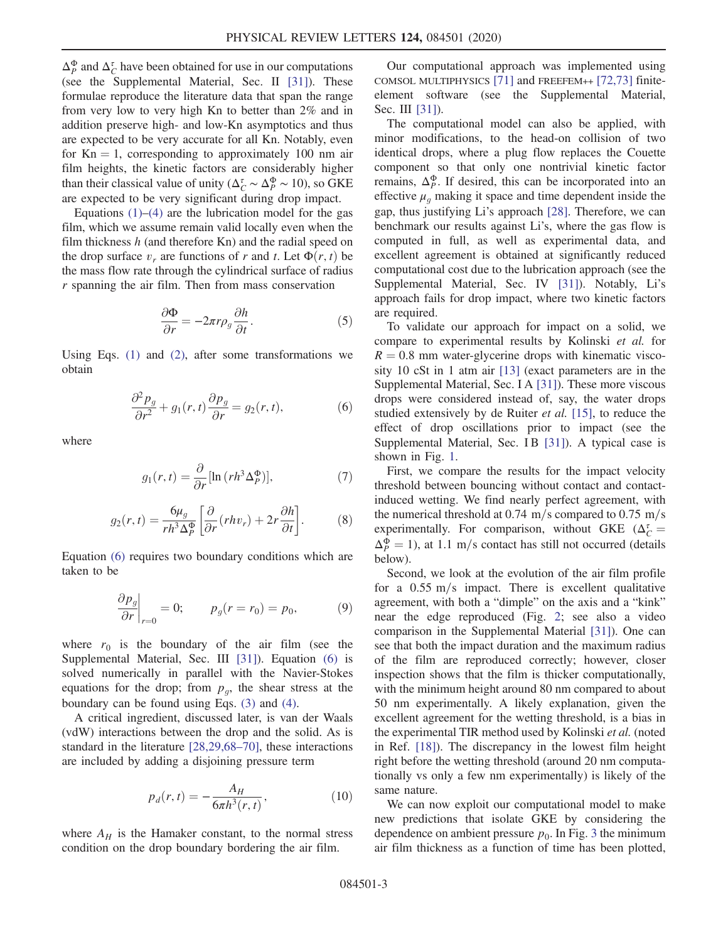$\Delta_P^{\Phi}$  and  $\Delta_C^{\tau}$  have been obtained for use in our computations (see the Supplemental Material, Sec. II [\[31\]](#page-5-6)). These formulae reproduce the literature data that span the range from very low to very high Kn to better than 2% and in addition preserve high- and low-Kn asymptotics and thus are expected to be very accurate for all Kn. Notably, even for  $Kn = 1$ , corresponding to approximately 100 nm air film heights, the kinetic factors are considerably higher than their classical value of unity ( $\Delta_C^{\tau} \sim \Delta_P^{\Phi} \sim 10$ ), so GKE are expected to be very significant during drop impact.

Equations  $(1)$ – $(4)$  are the lubrication model for the gas film, which we assume remain valid locally even when the film thickness  $h$  (and therefore Kn) and the radial speed on the drop surface  $v_r$  are functions of r and t. Let  $\Phi(r, t)$  be the mass flow rate through the cylindrical surface of radius r spanning the air film. Then from mass conservation

$$
\frac{\partial \Phi}{\partial r} = -2\pi r \rho_g \frac{\partial h}{\partial t}.
$$
 (5)

<span id="page-2-0"></span>Using Eqs. [\(1\)](#page-1-1) and [\(2\)](#page-1-3), after some transformations we obtain

$$
\frac{\partial^2 p_g}{\partial r^2} + g_1(r, t) \frac{\partial p_g}{\partial r} = g_2(r, t),\tag{6}
$$

where

$$
g_1(r,t) = \frac{\partial}{\partial r} [\ln (r h^3 \Delta_P^{\Phi})],\tag{7}
$$

$$
g_2(r,t) = \frac{6\mu_g}{rh^3 \Delta_P^{\Phi}} \left[ \frac{\partial}{\partial r} (rh v_r) + 2r \frac{\partial h}{\partial t} \right].
$$
 (8)

Equation [\(6\)](#page-2-0) requires two boundary conditions which are taken to be

$$
\left. \frac{\partial p_g}{\partial r} \right|_{r=0} = 0; \qquad p_g(r = r_0) = p_0,\tag{9}
$$

where  $r_0$  is the boundary of the air film (see the Supplemental Material, Sec. III [\[31\]](#page-5-6)). Equation [\(6\)](#page-2-0) is solved numerically in parallel with the Navier-Stokes equations for the drop; from  $p_q$ , the shear stress at the boundary can be found using Eqs. [\(3\)](#page-1-4) and [\(4\)](#page-1-2).

A critical ingredient, discussed later, is van der Waals (vdW) interactions between the drop and the solid. As is standard in the literature [\[28,29,68](#page-5-3)–70], these interactions are included by adding a disjoining pressure term

$$
p_d(r,t) = -\frac{A_H}{6\pi h^3(r,t)},
$$
\n(10)

where  $A_H$  is the Hamaker constant, to the normal stress condition on the drop boundary bordering the air film.

Our computational approach was implemented using COMSOL MULTIPHYSICS [\[71\]](#page-6-2) and FREEFEM++ [\[72,73\]](#page-6-3) finiteelement software (see the Supplemental Material, Sec. III [\[31\]](#page-5-6)).

The computational model can also be applied, with minor modifications, to the head-on collision of two identical drops, where a plug flow replaces the Couette component so that only one nontrivial kinetic factor remains,  $\Delta_P^{\Phi}$ . If desired, this can be incorporated into an effective  $\mu_q$  making it space and time dependent inside the gap, thus justifying Li's approach [\[28\].](#page-5-3) Therefore, we can benchmark our results against Li's, where the gas flow is computed in full, as well as experimental data, and excellent agreement is obtained at significantly reduced computational cost due to the lubrication approach (see the Supplemental Material, Sec. IV [\[31\]\)](#page-5-6). Notably, Li's approach fails for drop impact, where two kinetic factors are required.

To validate our approach for impact on a solid, we compare to experimental results by Kolinski et al. for  $R = 0.8$  mm water-glycerine drops with kinematic viscosity 10 cSt in 1 atm air [\[13\]](#page-4-9) (exact parameters are in the Supplemental Material, Sec. I A [\[31\]\)](#page-5-6). These more viscous drops were considered instead of, say, the water drops studied extensively by de Ruiter *et al.* [\[15\]](#page-4-14), to reduce the effect of drop oscillations prior to impact (see the Supplemental Material, Sec. IB [\[31\]](#page-5-6)). A typical case is shown in Fig. [1.](#page-1-0)

First, we compare the results for the impact velocity threshold between bouncing without contact and contactinduced wetting. We find nearly perfect agreement, with the numerical threshold at  $0.74 \text{ m/s}$  compared to  $0.75 \text{ m/s}$ experimentally. For comparison, without GKE  $(\Delta_C^{\tau})$  $\Delta_P^{\Phi} = 1$ ), at 1.1 m/s contact has still not occurred (details below).

Second, we look at the evolution of the air film profile for a  $0.55 \text{ m/s}$  impact. There is excellent qualitative agreement, with both a "dimple" on the axis and a "kink" near the edge reproduced (Fig. [2;](#page-3-0) see also a video comparison in the Supplemental Material [\[31\]](#page-5-6)). One can see that both the impact duration and the maximum radius of the film are reproduced correctly; however, closer inspection shows that the film is thicker computationally, with the minimum height around 80 nm compared to about 50 nm experimentally. A likely explanation, given the excellent agreement for the wetting threshold, is a bias in the experimental TIR method used by Kolinski et al. (noted in Ref. [\[18\]\)](#page-5-7). The discrepancy in the lowest film height right before the wetting threshold (around 20 nm computationally vs only a few nm experimentally) is likely of the same nature.

We can now exploit our computational model to make new predictions that isolate GKE by considering the dependence on ambient pressure  $p_0$ . In Fig. [3](#page-3-1) the minimum air film thickness as a function of time has been plotted,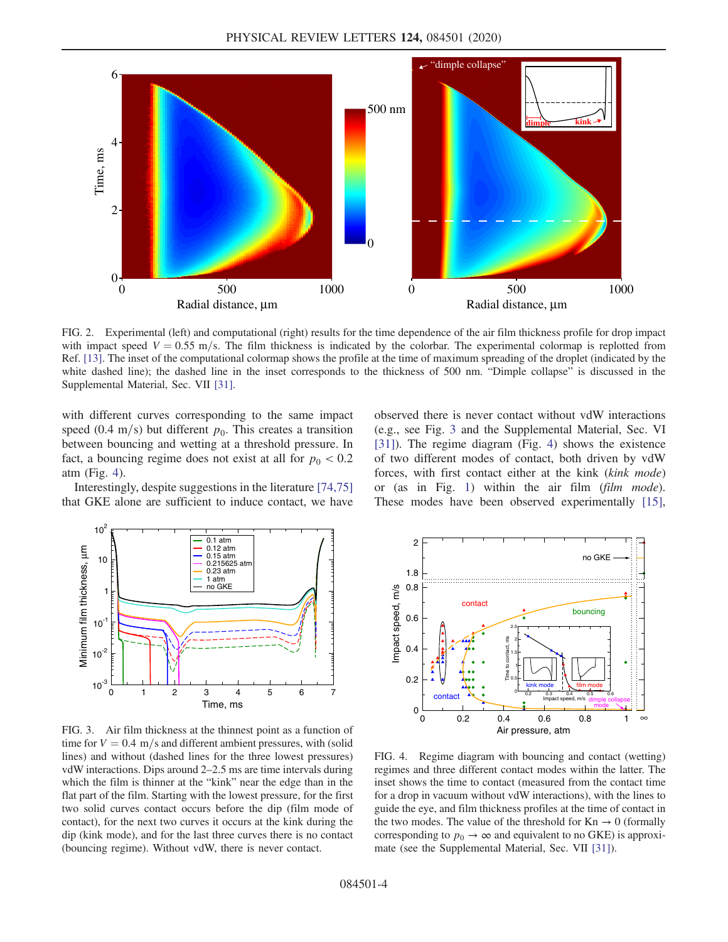<span id="page-3-0"></span>

FIG. 2. Experimental (left) and computational (right) results for the time dependence of the air film thickness profile for drop impact with impact speed  $V = 0.55$  m/s. The film thickness is indicated by the colorbar. The experimental colormap is replotted from Ref. [\[13\].](#page-4-9) The inset of the computational colormap shows the profile at the time of maximum spreading of the droplet (indicated by the white dashed line); the dashed line in the inset corresponds to the thickness of 500 nm. "Dimple collapse" is discussed in the Supplemental Material, Sec. VII [\[31\].](#page-5-6)

with different curves corresponding to the same impact speed (0.4 m/s) but different  $p_0$ . This creates a transition between bouncing and wetting at a threshold pressure. In fact, a bouncing regime does not exist at all for  $p_0 < 0.2$ atm (Fig. [4](#page-3-2)).

Interestingly, despite suggestions in the literature [\[74,75\]](#page-6-4) that GKE alone are sufficient to induce contact, we have

<span id="page-3-1"></span>

FIG. 3. Air film thickness at the thinnest point as a function of time for  $V = 0.4$  m/s and different ambient pressures, with (solid lines) and without (dashed lines for the three lowest pressures) vdW interactions. Dips around 2–2.5 ms are time intervals during which the film is thinner at the "kink" near the edge than in the flat part of the film. Starting with the lowest pressure, for the first two solid curves contact occurs before the dip (film mode of contact), for the next two curves it occurs at the kink during the dip (kink mode), and for the last three curves there is no contact (bouncing regime). Without vdW, there is never contact.

observed there is never contact without vdW interactions (e.g., see Fig. [3](#page-3-1) and the Supplemental Material, Sec. VI [\[31\]](#page-5-6)). The regime diagram (Fig. [4\)](#page-3-2) shows the existence of two different modes of contact, both driven by vdW forces, with first contact either at the kink (kink mode) or (as in Fig. [1\)](#page-1-0) within the air film (film mode). These modes have been observed experimentally [\[15\]](#page-4-14),

<span id="page-3-2"></span>

FIG. 4. Regime diagram with bouncing and contact (wetting) regimes and three different contact modes within the latter. The inset shows the time to contact (measured from the contact time for a drop in vacuum without vdW interactions), with the lines to guide the eye, and film thickness profiles at the time of contact in the two modes. The value of the threshold for  $Kn \to 0$  (formally corresponding to  $p_0 \rightarrow \infty$  and equivalent to no GKE) is approximate (see the Supplemental Material, Sec. VII [\[31\]\)](#page-5-6).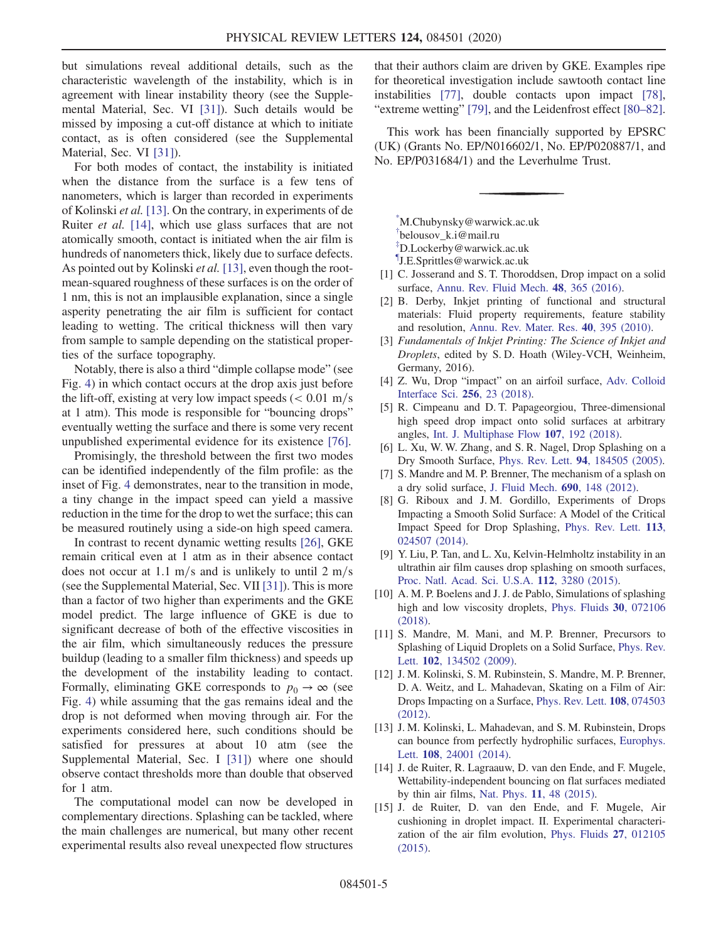but simulations reveal additional details, such as the characteristic wavelength of the instability, which is in agreement with linear instability theory (see the Supplemental Material, Sec. VI [\[31\]](#page-5-6)). Such details would be missed by imposing a cut-off distance at which to initiate contact, as is often considered (see the Supplemental Material, Sec. VI [\[31\]](#page-5-6)).

For both modes of contact, the instability is initiated when the distance from the surface is a few tens of nanometers, which is larger than recorded in experiments of Kolinski et al. [\[13\]](#page-4-9). On the contrary, in experiments of de Ruiter *et al.* [\[14\]](#page-4-12), which use glass surfaces that are not atomically smooth, contact is initiated when the air film is hundreds of nanometers thick, likely due to surface defects. As pointed out by Kolinski et al. [\[13\],](#page-4-9) even though the rootmean-squared roughness of these surfaces is on the order of 1 nm, this is not an implausible explanation, since a single asperity penetrating the air film is sufficient for contact leading to wetting. The critical thickness will then vary from sample to sample depending on the statistical properties of the surface topography.

Notably, there is also a third "dimple collapse mode" (see Fig. [4\)](#page-3-2) in which contact occurs at the drop axis just before the lift-off, existing at very low impact speeds  $\ll 0.01$  m/s at 1 atm). This mode is responsible for "bouncing drops" eventually wetting the surface and there is some very recent unpublished experimental evidence for its existence [\[76\].](#page-6-5)

Promisingly, the threshold between the first two modes can be identified independently of the film profile: as the inset of Fig. [4](#page-3-2) demonstrates, near to the transition in mode, a tiny change in the impact speed can yield a massive reduction in the time for the drop to wet the surface; this can be measured routinely using a side-on high speed camera.

In contrast to recent dynamic wetting results [\[26\],](#page-5-8) GKE remain critical even at 1 atm as in their absence contact does not occur at 1.1 m/s and is unlikely to until 2 m/s (see the Supplemental Material, Sec. VII [\[31\]\)](#page-5-6). This is more than a factor of two higher than experiments and the GKE model predict. The large influence of GKE is due to significant decrease of both of the effective viscosities in the air film, which simultaneously reduces the pressure buildup (leading to a smaller film thickness) and speeds up the development of the instability leading to contact. Formally, eliminating GKE corresponds to  $p_0 \rightarrow \infty$  (see Fig. [4](#page-3-2)) while assuming that the gas remains ideal and the drop is not deformed when moving through air. For the experiments considered here, such conditions should be satisfied for pressures at about 10 atm (see the Supplemental Material, Sec. I [\[31\]](#page-5-6)) where one should observe contact thresholds more than double that observed for 1 atm.

The computational model can now be developed in complementary directions. Splashing can be tackled, where the main challenges are numerical, but many other recent experimental results also reveal unexpected flow structures that their authors claim are driven by GKE. Examples ripe for theoretical investigation include sawtooth contact line instabilities [\[77\],](#page-6-6) double contacts upon impact [\[78\]](#page-6-7), "extreme wetting" [\[79\],](#page-6-8) and the Leidenfrost effect [\[80](#page-6-9)–82].

This work has been financially supported by EPSRC (UK) (Grants No. EP/N016602/1, No. EP/P020887/1, and No. EP/P031684/1) and the Leverhulme Trust.

<span id="page-4-3"></span><span id="page-4-2"></span><span id="page-4-1"></span><span id="page-4-0"></span>[\\*](#page-0-0) M.Chubynsky@warwick.ac.uk [†](#page-0-0) belousov\_k.i@mail.ru [‡](#page-0-0) D.Lockerby@warwick.ac.uk [¶](#page-0-0) J.E.Sprittles@warwick.ac.uk

- <span id="page-4-5"></span><span id="page-4-4"></span>[1] C. Josserand and S. T. Thoroddsen, Drop impact on a solid surface, [Annu. Rev. Fluid Mech.](https://doi.org/10.1146/annurev-fluid-122414-034401) 48, 365 (2016).
- [2] B. Derby, Inkjet printing of functional and structural materials: Fluid property requirements, feature stability and resolution, [Annu. Rev. Mater. Res.](https://doi.org/10.1146/annurev-matsci-070909-104502) 40, 395 (2010).
- <span id="page-4-6"></span>[3] Fundamentals of Inkjet Printing: The Science of Inkjet and Droplets, edited by S. D. Hoath (Wiley-VCH, Weinheim, Germany, 2016).
- [4] Z. Wu, Drop "impact" on an airfoil surface, [Adv. Colloid](https://doi.org/10.1016/j.cis.2018.05.005) [Interface Sci.](https://doi.org/10.1016/j.cis.2018.05.005) 256, 23 (2018).
- <span id="page-4-7"></span>[5] R. Cimpeanu and D. T. Papageorgiou, Three-dimensional high speed drop impact onto solid surfaces at arbitrary angles, [Int. J. Multiphase Flow](https://doi.org/10.1016/j.ijmultiphaseflow.2018.06.011) 107, 192 (2018).
- <span id="page-4-13"></span>[6] L. Xu, W. W. Zhang, and S. R. Nagel, Drop Splashing on a Dry Smooth Surface, Phys. Rev. Lett. 94[, 184505 \(2005\)](https://doi.org/10.1103/PhysRevLett.94.184505).
- <span id="page-4-11"></span>[7] S. Mandre and M. P. Brenner, The mechanism of a splash on a dry solid surface, [J. Fluid Mech.](https://doi.org/10.1017/jfm.2011.415) 690, 148 (2012).
- [8] G. Riboux and J. M. Gordillo, Experiments of Drops Impacting a Smooth Solid Surface: A Model of the Critical Impact Speed for Drop Splashing, [Phys. Rev. Lett.](https://doi.org/10.1103/PhysRevLett.113.024507) 113, [024507 \(2014\).](https://doi.org/10.1103/PhysRevLett.113.024507)
- [9] Y. Liu, P. Tan, and L. Xu, Kelvin-Helmholtz instability in an ultrathin air film causes drop splashing on smooth surfaces, [Proc. Natl. Acad. Sci. U.S.A.](https://doi.org/10.1073/pnas.1417718112) 112, 3280 (2015).
- <span id="page-4-8"></span>[10] A. M. P. Boelens and J. J. de Pablo, Simulations of splashing high and low viscosity droplets, [Phys. Fluids](https://doi.org/10.1063/1.5036519) 30, 072106 [\(2018\).](https://doi.org/10.1063/1.5036519)
- <span id="page-4-10"></span>[11] S. Mandre, M. Mani, and M.P. Brenner, Precursors to Splashing of Liquid Droplets on a Solid Surface, [Phys. Rev.](https://doi.org/10.1103/PhysRevLett.102.134502) Lett. **102**[, 134502 \(2009\)](https://doi.org/10.1103/PhysRevLett.102.134502).
- <span id="page-4-9"></span>[12] J. M. Kolinski, S. M. Rubinstein, S. Mandre, M. P. Brenner, D. A. Weitz, and L. Mahadevan, Skating on a Film of Air: Drops Impacting on a Surface, [Phys. Rev. Lett.](https://doi.org/10.1103/PhysRevLett.108.074503) 108, 074503 [\(2012\).](https://doi.org/10.1103/PhysRevLett.108.074503)
- <span id="page-4-12"></span>[13] J. M. Kolinski, L. Mahadevan, and S. M. Rubinstein, Drops can bounce from perfectly hydrophilic surfaces, [Europhys.](https://doi.org/10.1209/0295-5075/108/24001) Lett. 108[, 24001 \(2014\).](https://doi.org/10.1209/0295-5075/108/24001)
- <span id="page-4-14"></span>[14] J. de Ruiter, R. Lagraauw, D. van den Ende, and F. Mugele, Wettability-independent bouncing on flat surfaces mediated by thin air films, Nat. Phys. 11[, 48 \(2015\)](https://doi.org/10.1038/nphys3145).
- [15] J. de Ruiter, D. van den Ende, and F. Mugele, Air cushioning in droplet impact. II. Experimental characterization of the air film evolution, [Phys. Fluids](https://doi.org/10.1063/1.4906115) 27, 012105 [\(2015\).](https://doi.org/10.1063/1.4906115)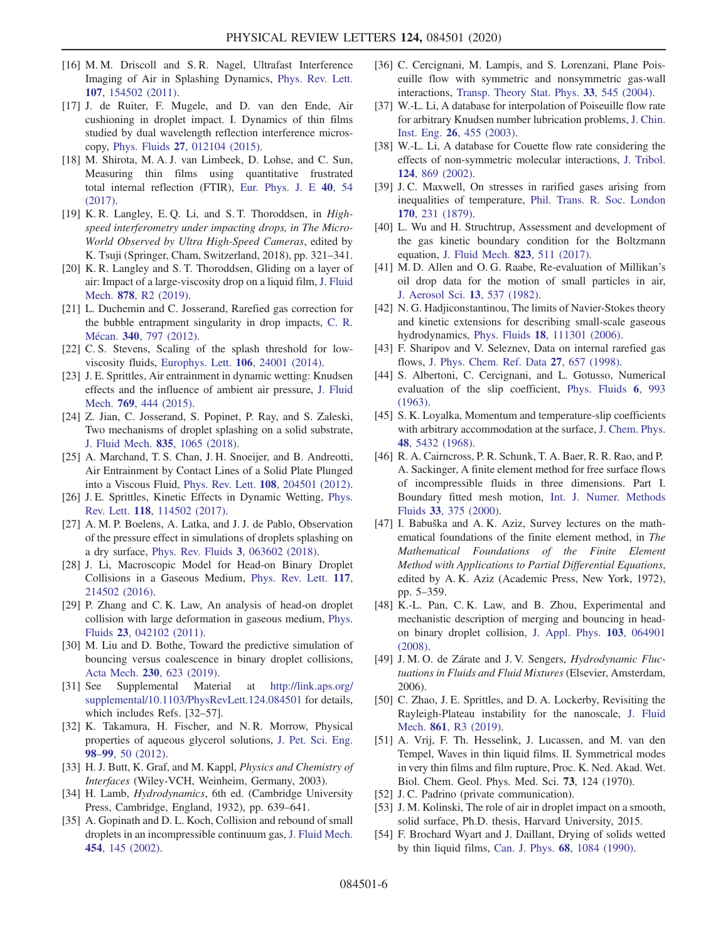- [16] M. M. Driscoll and S. R. Nagel, Ultrafast Interference Imaging of Air in Splashing Dynamics, [Phys. Rev. Lett.](https://doi.org/10.1103/PhysRevLett.107.154502) 107[, 154502 \(2011\).](https://doi.org/10.1103/PhysRevLett.107.154502)
- [17] J. de Ruiter, F. Mugele, and D. van den Ende, Air cushioning in droplet impact. I. Dynamics of thin films studied by dual wavelength reflection interference microscopy, Phys. Fluids 27[, 012104 \(2015\).](https://doi.org/10.1063/1.4906114)
- <span id="page-5-7"></span>[18] M. Shirota, M. A. J. van Limbeek, D. Lohse, and C. Sun, Measuring thin films using quantitative frustrated total internal reflection (FTIR), [Eur. Phys. J. E](https://doi.org/10.1140/epje/i2017-11542-4) 40, 54 [\(2017\).](https://doi.org/10.1140/epje/i2017-11542-4)
- [19] K. R. Langley, E. Q. Li, and S. T. Thoroddsen, in *High*speed interferometry under impacting drops, in The Micro-World Observed by Ultra High-Speed Cameras, edited by K. Tsuji (Springer, Cham, Switzerland, 2018), pp. 321–341.
- [20] K. R. Langley and S. T. Thoroddsen, Gliding on a layer of air: Impact of a large-viscosity drop on a liquid film, [J. Fluid](https://doi.org/10.1017/jfm.2019.682) Mech. 878[, R2 \(2019\)](https://doi.org/10.1017/jfm.2019.682).
- [21] L. Duchemin and C. Josserand, Rarefied gas correction for the bubble entrapment singularity in drop impacts, [C. R.](https://doi.org/10.1016/j.crme.2012.10.028) [M](https://doi.org/10.1016/j.crme.2012.10.028)écan. 340[, 797 \(2012\).](https://doi.org/10.1016/j.crme.2012.10.028)
- [22] C. S. Stevens, Scaling of the splash threshold for lowviscosity fluids, [Europhys. Lett.](https://doi.org/10.1209/0295-5075/106/24001) 106, 24001 (2014).
- [23] J. E. Sprittles, Air entrainment in dynamic wetting: Knudsen effects and the influence of ambient air pressure, [J. Fluid](https://doi.org/10.1017/jfm.2015.121) Mech. 769[, 444 \(2015\).](https://doi.org/10.1017/jfm.2015.121)
- <span id="page-5-0"></span>[24] Z. Jian, C. Josserand, S. Popinet, P. Ray, and S. Zaleski, Two mechanisms of droplet splashing on a solid substrate, [J. Fluid Mech.](https://doi.org/10.1017/jfm.2017.768) 835, 1065 (2018).
- <span id="page-5-1"></span>[25] A. Marchand, T. S. Chan, J. H. Snoeijer, and B. Andreotti, Air Entrainment by Contact Lines of a Solid Plate Plunged into a Viscous Fluid, Phys. Rev. Lett. 108[, 204501 \(2012\).](https://doi.org/10.1103/PhysRevLett.108.204501)
- <span id="page-5-8"></span><span id="page-5-2"></span>[26] J. E. Sprittles, Kinetic Effects in Dynamic Wetting, [Phys.](https://doi.org/10.1103/PhysRevLett.118.114502) Rev. Lett. 118[, 114502 \(2017\).](https://doi.org/10.1103/PhysRevLett.118.114502)
- <span id="page-5-3"></span>[27] A. M. P. Boelens, A. Latka, and J. J. de Pablo, Observation of the pressure effect in simulations of droplets splashing on a dry surface, [Phys. Rev. Fluids](https://doi.org/10.1103/PhysRevFluids.3.063602) 3, 063602 (2018).
- <span id="page-5-4"></span>[28] J. Li, Macroscopic Model for Head-on Binary Droplet Collisions in a Gaseous Medium, [Phys. Rev. Lett.](https://doi.org/10.1103/PhysRevLett.117.214502) 117, [214502 \(2016\).](https://doi.org/10.1103/PhysRevLett.117.214502)
- <span id="page-5-5"></span>[29] P. Zhang and C.K. Law, An analysis of head-on droplet collision with large deformation in gaseous medium, [Phys.](https://doi.org/10.1063/1.3580754) Fluids 23[, 042102 \(2011\).](https://doi.org/10.1063/1.3580754)
- <span id="page-5-6"></span>[30] M. Liu and D. Bothe, Toward the predictive simulation of bouncing versus coalescence in binary droplet collisions, Acta Mech. 230[, 623 \(2019\).](https://doi.org/10.1007/s00707-018-2290-4)
- [31] See Supplemental Material at [http://link.aps.org/](http://link.aps.org/supplemental/10.1103/PhysRevLett.124.084501) [supplemental/10.1103/PhysRevLett.124.084501](http://link.aps.org/supplemental/10.1103/PhysRevLett.124.084501) for details, which includes Refs. [32–57].
- [32] K. Takamura, H. Fischer, and N. R. Morrow, Physical properties of aqueous glycerol solutions, [J. Pet. Sci. Eng.](https://doi.org/10.1016/j.petrol.2012.09.003) 98–99[, 50 \(2012\)](https://doi.org/10.1016/j.petrol.2012.09.003).
- [33] H. J. Butt, K. Graf, and M. Kappl, *Physics and Chemistry of* Interfaces (Wiley-VCH, Weinheim, Germany, 2003).
- [34] H. Lamb, *Hydrodynamics*, 6th ed. (Cambridge University Press, Cambridge, England, 1932), pp. 639–641.
- [35] A. Gopinath and D. L. Koch, Collision and rebound of small droplets in an incompressible continuum gas, [J. Fluid Mech.](https://doi.org/10.1017/S0022112001006966) 454[, 145 \(2002\)](https://doi.org/10.1017/S0022112001006966).
- [36] C. Cercignani, M. Lampis, and S. Lorenzani, Plane Poiseuille flow with symmetric and nonsymmetric gas-wall interactions, [Transp. Theory Stat. Phys.](https://doi.org/10.1081/TT-200053939) 33, 545 (2004).
- [37] W.-L. Li, A database for interpolation of Poiseuille flow rate for arbitrary Knudsen number lubrication problems, [J. Chin.](https://doi.org/10.1080/02533839.2003.9670799) Inst. Eng. 26[, 455 \(2003\)](https://doi.org/10.1080/02533839.2003.9670799).
- [38] W.-L. Li, A database for Couette flow rate considering the effects of non-symmetric molecular interactions, [J. Tribol.](https://doi.org/10.1115/1.1479700) 124[, 869 \(2002\)](https://doi.org/10.1115/1.1479700).
- [39] J.C. Maxwell, On stresses in rarified gases arising from inequalities of temperature, [Phil. Trans. R. Soc. London](https://doi.org/10.1098/rstl.1879.0067) 170[, 231 \(1879\)](https://doi.org/10.1098/rstl.1879.0067).
- [40] L. Wu and H. Struchtrup, Assessment and development of the gas kinetic boundary condition for the Boltzmann equation, [J. Fluid Mech.](https://doi.org/10.1017/jfm.2017.326) 823, 511 (2017).
- [41] M. D. Allen and O. G. Raabe, Re-evaluation of Millikan's oil drop data for the motion of small particles in air, [J. Aerosol Sci.](https://doi.org/10.1016/0021-8502(82)90019-2) 13, 537 (1982).
- [42] N. G. Hadjiconstantinou, The limits of Navier-Stokes theory and kinetic extensions for describing small-scale gaseous hydrodynamics, Phys. Fluids 18[, 111301 \(2006\).](https://doi.org/10.1063/1.2393436)
- [43] F. Sharipov and V. Seleznev, Data on internal rarefied gas flows, [J. Phys. Chem. Ref. Data](https://doi.org/10.1063/1.556019) 27, 657 (1998).
- [44] S. Albertoni, C. Cercignani, and L. Gotusso, Numerical evaluation of the slip coefficient, [Phys. Fluids](https://doi.org/10.1063/1.1706857) 6, 993 [\(1963\).](https://doi.org/10.1063/1.1706857)
- [45] S. K. Loyalka, Momentum and temperature-slip coefficients with arbitrary accommodation at the surface, [J. Chem. Phys.](https://doi.org/10.1063/1.1668235) 48[, 5432 \(1968\)](https://doi.org/10.1063/1.1668235).
- [46] R. A. Cairncross, P. R. Schunk, T. A. Baer, R. R. Rao, and P. A. Sackinger, A finite element method for free surface flows of incompressible fluids in three dimensions. Part I. Boundary fitted mesh motion, [Int. J. Numer. Methods](https://doi.org/10.1002/1097-0363(20000615)33:3%3C375::AID-FLD13%3E3.0.CO;2-O) Fluids 33[, 375 \(2000\).](https://doi.org/10.1002/1097-0363(20000615)33:3%3C375::AID-FLD13%3E3.0.CO;2-O)
- [47] I. Babuška and A.K. Aziz, Survey lectures on the mathematical foundations of the finite element method, in The Mathematical Foundations of the Finite Element Method with Applications to Partial Differential Equations, edited by A. K. Aziz (Academic Press, New York, 1972), pp. 5–359.
- [48] K.-L. Pan, C. K. Law, and B. Zhou, Experimental and mechanistic description of merging and bouncing in headon binary droplet collision, [J. Appl. Phys.](https://doi.org/10.1063/1.2841055) 103, 064901 [\(2008\).](https://doi.org/10.1063/1.2841055)
- [49] J. M. O. de Zárate and J. V. Sengers, *Hydrodynamic Fluc*tuations in Fluids and Fluid Mixtures (Elsevier, Amsterdam, 2006).
- [50] C. Zhao, J. E. Sprittles, and D. A. Lockerby, Revisiting the Rayleigh-Plateau instability for the nanoscale, [J. Fluid](https://doi.org/10.1017/jfm.2018.950) Mech. 861[, R3 \(2019\)](https://doi.org/10.1017/jfm.2018.950).
- [51] A. Vrij, F. Th. Hesselink, J. Lucassen, and M. van den Tempel, Waves in thin liquid films. II. Symmetrical modes in very thin films and film rupture, Proc. K. Ned. Akad. Wet. Biol. Chem. Geol. Phys. Med. Sci. 73, 124 (1970).
- [52] J. C. Padrino (private communication).
- [53] J. M. Kolinski, The role of air in droplet impact on a smooth, solid surface, Ph.D. thesis, Harvard University, 2015.
- [54] F. Brochard Wyart and J. Daillant, Drying of solids wetted by thin liquid films, Can. J. Phys. 68[, 1084 \(1990\).](https://doi.org/10.1139/p90-151)